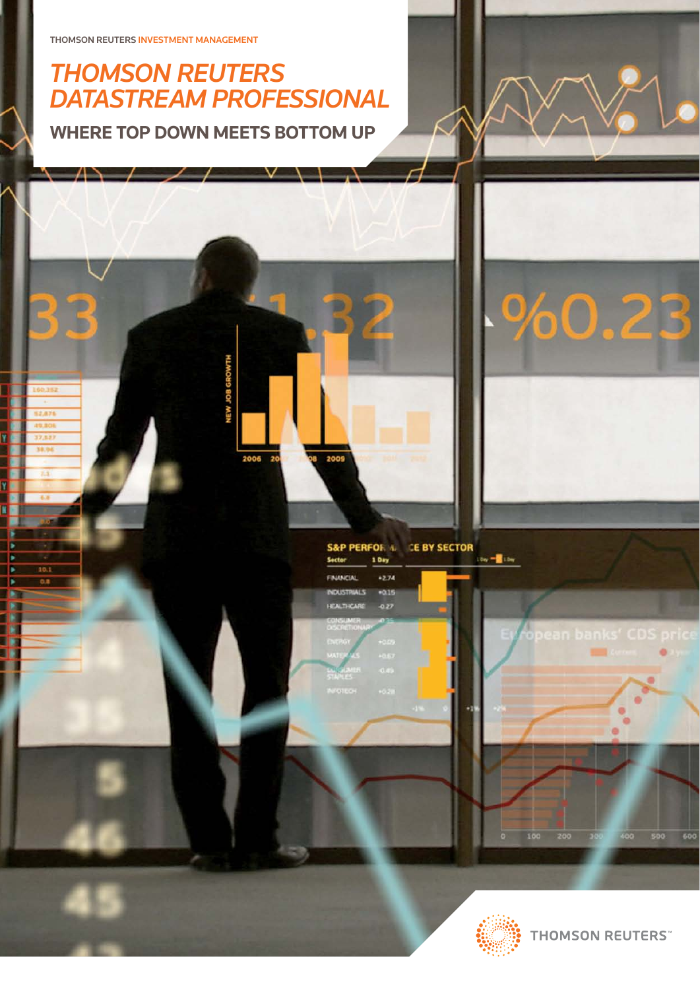# *THOMSON REUTERS DATASTREAM PROFESSIONAL* **WHERE TOP DOWN MEETS BOTTOM UP**

2009

**S&P PERFOR 1.** 

1 Day  $+2.74$  $-0.15$ 027

**CE BY SECTOR** 

 $\cos \frac{\pi}{2} \cos$ 

**THOMSON REUTERS** 

960.23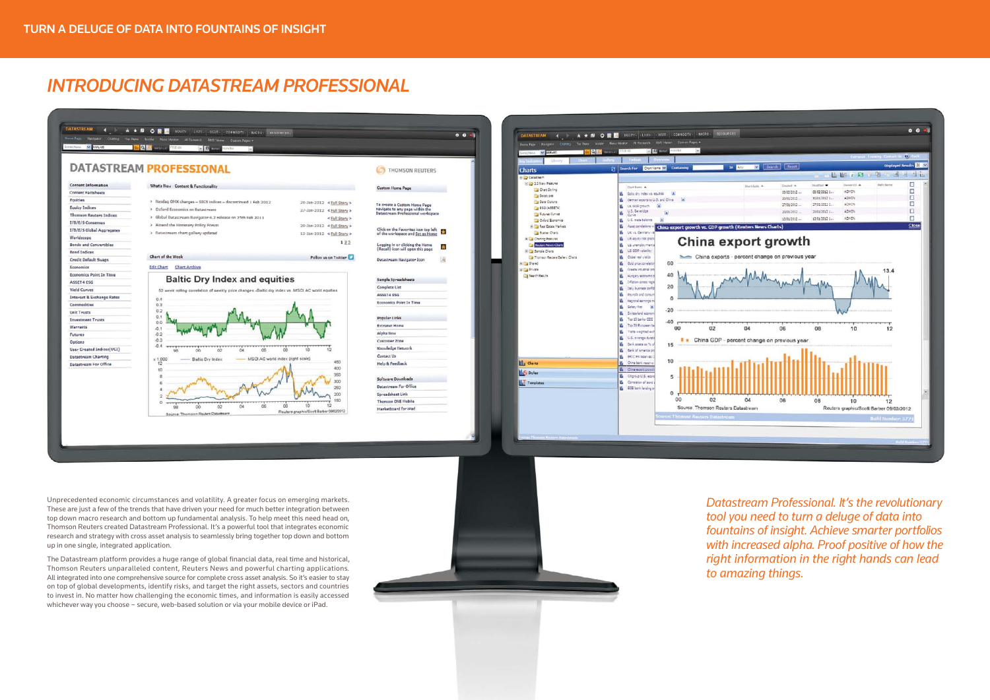Unprecedented economic circumstances and volatility. A greater focus on emerging markets. These are just a few of the trends that have driven your need for much better integration between top down macro research and bottom up fundamental analysis. To help meet this need head on, Thomson Reuters created Datastream Professional. It's a powerful tool that integrates economic research and strategy with cross asset analysis to seamlessly bring together top down and bottom up in one single, integrated application.

The Datastream platform provides a huge range of global financial data, real time and historical, Thomson Reuters unparalleled content, Reuters News and powerful charting applications. All integrated into one comprehensive source for complete cross asset analysis. So it's easier to stay on top of global developments, identify risks, and target the right assets, sectors and countries to invest in. No matter how challenging the economic times, and information is easily accessed whichever way you choose – secure, web-based solution or via your mobile device or iPad.



*Datastream Professional. It's the revolutionary tool you need to turn a deluge of data into fountains of insight. Achieve smarter portfolios with increased alpha. Proof positive of how the right information in the right hands can lead to amazing things.*



# *INTRODUCING DATASTREAM PROFESSIONAL*

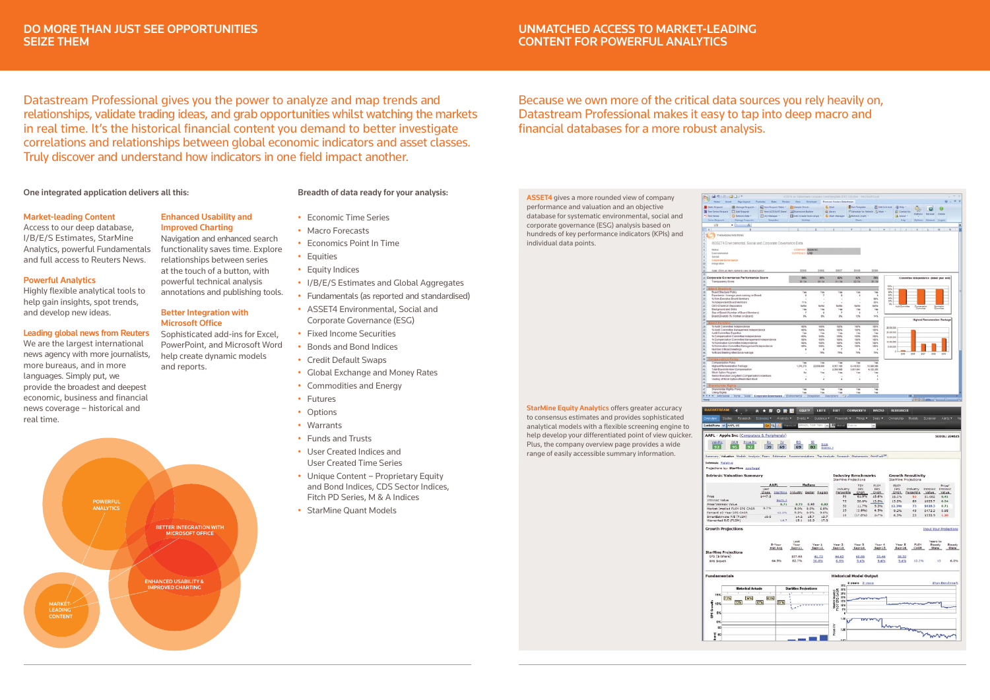

# Market-leading Content

Access to our deep database, I/B/E/S Estimates, StarMine Analytics, powerful Fundamentals and full access to Reuters News.

# Powerful Analytics

Highly flexible analytical tools to help gain insights, spot trends, and develop new ideas.

### Leading global news from Reuters

We are the largest international news agency with more journalists, more bureaus, and in more languages. Simply put, we provide the broadest and deepest economic, business and financial news coverage – historical and real time.

# Enhanced Usability and Improved Charting

Navigation and enhanced search functionality saves time. Explore relationships between series at the touch of a button, with powerful technical analysis annotations and publishing tools.

## Better Integration with Microsoft Office

Sophisticated add-ins for Excel, PowerPoint, and Microsoft Word help create dynamic models and reports.

# One integrated application delivers all this:

- Breadth of data ready for your analysis:
- • Economic Time Series
- Macro Forecasts
- • Economics Point In Time
- Equities
- Equity Indices
- • I/B/E/S Estimates and Global Aggregates
- • Fundamentals (as reported and standardised)
- • ASSET4 Environmental, Social and Corporate Governance (ESG)
- • Fixed Income Securities
- • Bonds and Bond Indices
- • Credit Default Swaps
- • Global Exchange and Money Rates
- Commodities and Energy
- • Futures
- Options
- • Warrants
- • Funds and Trusts
- • User Created Indices and User Created Time Series
- Unique Content Proprietary Equity and Bond Indices, CDS Sector Indices, Fitch PD Series, M & A Indices
- StarMine Quant Models

Datastream Professional gives you the power to analyze and map trends and relationships, validate trading ideas, and grab opportunities whilst watching the markets in real time. It's the historical financial content you demand to better investigate correlations and relationships between global economic indicators and asset classes. Truly discover and understand how indicators in one field impact another.

> **StarMine Equity Analytics offers greater accuracy** to consensus estimates and provides sophisticated analytical models with a flexible screening engine to help develop your differentiated point of view quicker. Plus, the company overview page provides a wide range of easily accessible summary information.







# Because we own more of the critical data sources you rely heavily on,

Datastream Professional makes it easy to tap into deep macro and financial databases for a more robust analysis.

# UNMATCHED ACCESS TO MARKET-LEADING CONTENT FOR POWERFUL ANALYTICS

ASSET4 gives a more rounded view of company performance and valuation and an objective database for systematic environmental, social and corporate governance (ESG) analysis based on hundreds of key performance indicators (KPIs) and individual data points.

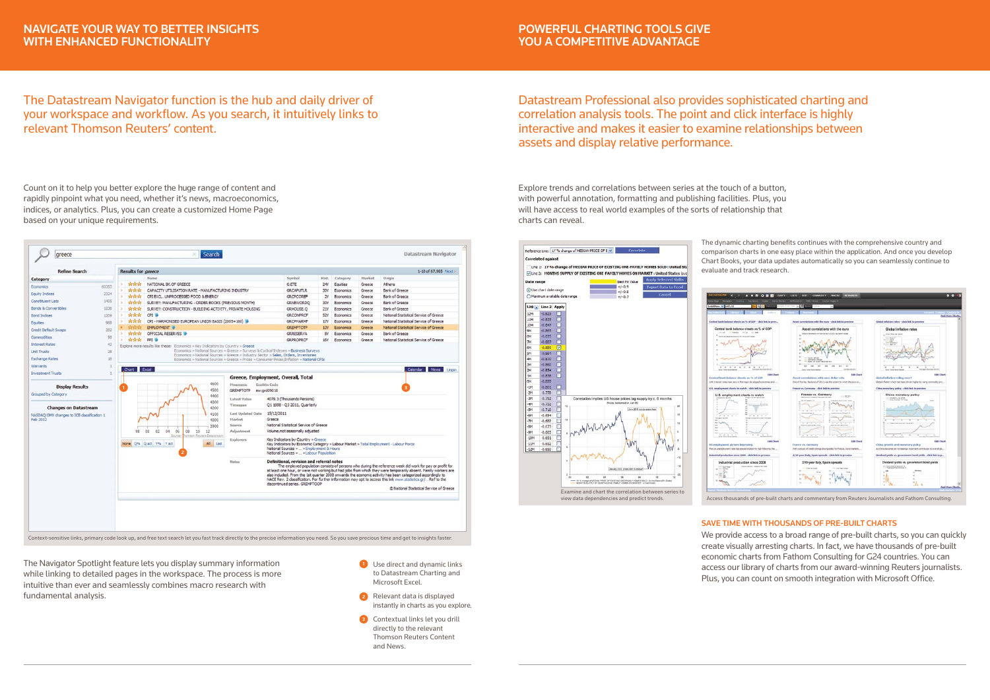# The Datastream Navigator function is the hub and daily driver of your workspace and workflow. As you search, it intuitively links to relevant Thomson Reuters' content.

Count on it to help you better explore the huge range of content and rapidly pinpoint what you need, whether it's news, macroeconomics, indices, or analytics. Plus, you can create a customized Home Page based on your unique requirements.

The Navigator Spotlight feature lets you display summary information while linking to detailed pages in the workspace. The process is more intuitive than ever and seamlessly combines macro research with fundamental analysis.

# Datastream Professional also provides sophisticated charting and correlation analysis tools. The point and click interface is highly interactive and makes it easier to examine relationships between assets and display relative performance.

 $-22.69$ 

Explore trends and correlations between series at the touch of a button, with powerful annotation, formatting and publishing facilities. Plus, you will have access to real world examples of the sorts of relationship that charts can reveal.

- **U** Use direct and dynamic links to Datastream Charting and Microsoft Excel.
- Relevant data is displayed  **2** instantly in charts as you explore.
- Contextual links let you drill  **3**directly to the relevant Thomson Reuters Content and News.

The dynamic charting benefits continues with the comprehensive country and comparison charts in one easy place within the application. And once you develop Chart Books, your data updates automatically so you can seamlessly continue to evaluate and track research.

| <b>Calling</b>                                                                                                                    |                                                                                                                                                                                                                                                    | <b>The Contact</b><br><b>STATISTICS</b><br><b>Find Hore Charts</b>                                                                                                   |
|-----------------------------------------------------------------------------------------------------------------------------------|----------------------------------------------------------------------------------------------------------------------------------------------------------------------------------------------------------------------------------------------------|----------------------------------------------------------------------------------------------------------------------------------------------------------------------|
| of GDP - click link to prev                                                                                                       | Asset correlations with the euro - click link to preview                                                                                                                                                                                           | Global inflation rates - click link to preview                                                                                                                       |
| eets as % of GDP<br><b>Phone</b><br>$10 - 10$<br>÷<br>Surviv particle of Selection (400 stat)<br><b>Edit Chart</b><br>is % of GDP | Asset correlations with the euro<br>time this interest with process that all departments<br>$\sim$<br>m<br>700<br>27.5<br>٠<br><b>But Select Statistics</b><br><b>Burns</b> , The<br><b>Edit Chart</b><br>Asset correlations with euro dollar rate | <b>Global inflation rates</b><br>Anual Informatic content<br>- Summers 31<br><b>Edit Chart</b><br>Global inflation rolling over?                                     |
| developed economies and                                                                                                           | One of the key features of 2011 was the extent to which the euro-d                                                                                                                                                                                 | Gobal inflaton which had been driven higher by riang commodity pric                                                                                                  |
| click link to preview                                                                                                             | France vs. Germany - click link to preview                                                                                                                                                                                                         | China monetary policy - click link to preview                                                                                                                        |
| is to watch<br>of most conceived install<br>$= 1.1$<br>$\sim$<br><b>Edit Chart</b>                                                | France vs. Germany<br>$\equiv$ fields<br><b>Edit Chart</b>                                                                                                                                                                                         | China monetary policy<br><b>ELASTING ROOM</b><br>a succession consideration<br><b>Edit Chart</b>                                                                     |
|                                                                                                                                   | France vs. Germany                                                                                                                                                                                                                                 | China growth and monetary policy                                                                                                                                     |
| arti privolicit ripiri yimoddul                                                                                                   | With rumours of credit ratings dovingrades for France, bond markets                                                                                                                                                                                | As China becomes an increasingly important contributor to overall glo                                                                                                |
| click link to preview                                                                                                             | 2/16-year Italy, Spain spreads - click link to preview                                                                                                                                                                                             | Dividend yields vs. government bond yields - click link to p                                                                                                         |
| since 2008<br>autor research to 1200                                                                                              | 2/10-year Italy, Spain spreads<br>- 2 to levered<br><b><i>PSH Start server</i></b><br>$\mathbf{u}$<br>11<br>ht m<br><b>Fall and</b><br>16.<br>23<br>$\mathbb{R}$                                                                                   | Dividend yields vs. government bond yields<br>This reservative N<br>MA.<br>×<br>$\mathbf{u}$<br>×<br>$\mathbf{u}$<br>×<br>$.$ $\Gamma$ is<br><b>Find Hore Charts</b> |

# SAVE TIME WITH THOUSANDS OF PRE-BUILT CHARTS

We provide access to a broad range of pre-built charts, so you can quickly create visually arresting charts. In fact, we have thousands of pre-built economic charts from Fathom Consulting for G24 countries. You can access our library of charts from our award-winning Reuters journalists. Plus, you can count on smooth integration with Microsoft Office.

Access thousands of pre-built charts and commentary from Reuters Journalists and Fathom Consulting.

|                                                        |              |                  | Results for <i>greece</i>                                                                                                                                                          |                   |                                           |                         |                        |                                        | 1-10 of 67,965 Next                                                                                                                                                                                                            |
|--------------------------------------------------------|--------------|------------------|------------------------------------------------------------------------------------------------------------------------------------------------------------------------------------|-------------------|-------------------------------------------|-------------------------|------------------------|----------------------------------------|--------------------------------------------------------------------------------------------------------------------------------------------------------------------------------------------------------------------------------|
| Category                                               |              |                  | Name                                                                                                                                                                               |                   | Symbol                                    | Hist.                   | Category               | Market                                 | Origin                                                                                                                                                                                                                         |
| <b>Economics</b>                                       | 60353        | ਕਿਸਤੋ            | NATIONAL BK.OF GREECE                                                                                                                                                              |                   | G:ETE                                     | 24Y                     | Equities               | Greece                                 | Athens                                                                                                                                                                                                                         |
|                                                        | 2324         | <b>Arrival</b>   | CAPACITY UTILISATION RATE - MANUFACTURING INDUSTRY                                                                                                                                 |                   | <b>GRCAPUTLR</b>                          | 30Y                     | <b>Economics</b>       | Greece                                 | <b>Bank of Greece</b>                                                                                                                                                                                                          |
| <b>Equity Indices</b>                                  |              | ***              | CPI EXCL, UNPROCESSED FOOD & ENERGY                                                                                                                                                |                   | <b>GRCPCOREF</b>                          | 2Y                      | Economics              | Greece                                 | <b>Bank of Greece</b>                                                                                                                                                                                                          |
| Constituent Lists                                      | 1405         | <b>SESESE</b>    | SURVEY: MANUFACTURING - ORDER BOOKS (PREVIOUS MONTH)                                                                                                                               |                   |                                           | <b>GRNEWORDO</b><br>30Y | <b>Economics</b>       | Greece                                 | <b>Bank of Greece</b>                                                                                                                                                                                                          |
| <b>Bonds &amp; Convertibles</b>                        | 1236         | ਕੈਨੀਕ            | SURVEY: CONSTRUCTION - BUILDING ACTIVITY, PRIVATE HOUSING                                                                                                                          |                   |                                           | GRHOUSE.O<br><b>21Y</b> | Economics              | Greece                                 | <b>Bank of Greece</b>                                                                                                                                                                                                          |
| <b>Bond Indices</b>                                    | 1209         | <b>Arrival</b>   | CPI <sup>W</sup>                                                                                                                                                                   | GRCONPRCF         | 52Y                                       | Economics               | Greece                 | National Statistical Service of Greece |                                                                                                                                                                                                                                |
| <b>Equities</b>                                        | 968          | <b>Araca</b>     | CPI - HARMONISED EUROPEAN UNION BASIS (2005=100)                                                                                                                                   |                   | <b>GRCPHARMF</b>                          | 17Y                     | Economics              | Greece                                 | National Statistical Service of Greece                                                                                                                                                                                         |
| Credit Default Swaps                                   | 282          | sinderie.<br>含含含 | EMPLOYMENT<br>OFFICIAL RESERVES                                                                                                                                                    |                   | <b>GREMPTOTP</b>                          | 13Y                     | <b>Economics</b>       | Greece                                 | National Statistical Service of Greece<br><b>Bank of Greece</b>                                                                                                                                                                |
| Commodities                                            | 98           | ple ple ple      | PPI W                                                                                                                                                                              |                   | <b>GRRESERVA</b><br>GRPROPRCF             | 8Y<br><b>16Y</b>        | Economics<br>Economics | Greece<br>Greece                       | National Statistical Service of Greece                                                                                                                                                                                         |
| <b>Interest Rates</b>                                  | 42           |                  | Explore more results like these: Economics = Key Indicators by Country = Greece                                                                                                    |                   |                                           |                         |                        |                                        |                                                                                                                                                                                                                                |
| <b>Unit Trusts</b>                                     | 28           |                  | Economics » National Sources » Greece » Surveys & Cyclical Indexes » Business Surveys                                                                                              |                   |                                           |                         |                        |                                        |                                                                                                                                                                                                                                |
| <b>Exchange Rates</b>                                  | 18           |                  | Economics = National Sources = Greece = Industry Sector = Sales, Orders, Inventories<br>Economics > National Sources > Greece > Prices > Consumer Prices/Inflation > National CPIs |                   |                                           |                         |                        |                                        |                                                                                                                                                                                                                                |
| Warrants                                               | п            |                  |                                                                                                                                                                                    |                   |                                           |                         |                        |                                        |                                                                                                                                                                                                                                |
| <b>Investment Trusts</b>                               |              | Chart Excel      |                                                                                                                                                                                    |                   |                                           |                         |                        |                                        | Calendar<br>News<br>Unpin                                                                                                                                                                                                      |
|                                                        |              |                  |                                                                                                                                                                                    |                   | Greece, Employment, Overall, Total        |                         |                        |                                        |                                                                                                                                                                                                                                |
|                                                        |              |                  | 4600                                                                                                                                                                               | Mnemonic          | EcoWin Code                               |                         |                        |                                        |                                                                                                                                                                                                                                |
| <b>Display Results</b>                                 | $\mathbf{1}$ |                  | 4500                                                                                                                                                                               | ew:grd09010       |                                           |                         |                        |                                        |                                                                                                                                                                                                                                |
| Grouped by Category                                    |              |                  |                                                                                                                                                                                    | <b>GREMPTOTP</b>  |                                           |                         |                        |                                        |                                                                                                                                                                                                                                |
|                                                        |              |                  | 4400                                                                                                                                                                               |                   |                                           |                         |                        |                                        |                                                                                                                                                                                                                                |
|                                                        |              |                  | 4300                                                                                                                                                                               | Latest Value      | 4079.3 (Thousands Persons)                |                         |                        |                                        |                                                                                                                                                                                                                                |
| <b>Changes on Datastream</b>                           |              |                  | 4200                                                                                                                                                                               | Timespan          | Q1 1998 - Q3 2011, Quarterly              |                         |                        |                                        |                                                                                                                                                                                                                                |
|                                                        |              |                  | 4100                                                                                                                                                                               | Last Updated Date | 15/12/2011                                |                         |                        |                                        |                                                                                                                                                                                                                                |
|                                                        |              |                  | 4000                                                                                                                                                                               | Market            | Greece                                    |                         |                        |                                        |                                                                                                                                                                                                                                |
|                                                        |              |                  | 3900<br>04                                                                                                                                                                         | Source            | National Statistical Service of Greece    |                         |                        |                                        |                                                                                                                                                                                                                                |
|                                                        |              | 98               | 02<br>06<br>08<br>10<br>12<br>00<br>homson Reuters Datastream<br>Sources                                                                                                           | Adjustment        | Volume, not seasonally adjusted           |                         |                        |                                        |                                                                                                                                                                                                                                |
| NASDAO OMX changes to ICB classification 1<br>Feb 2012 |              |                  | All<br>None Q% Q act Y% Y act<br>Last                                                                                                                                              | <b>Explorers</b>  | Key Indicators by Country » Greece        |                         |                        |                                        |                                                                                                                                                                                                                                |
|                                                        |              |                  |                                                                                                                                                                                    |                   | National Sources »  » Employment & Hours  |                         |                        |                                        | Key Indicators by Economic Category » Labour Market » Total Employment - Labour Force                                                                                                                                          |
|                                                        |              |                  |                                                                                                                                                                                    |                   | National Sources »  » Labour Population   |                         |                        |                                        |                                                                                                                                                                                                                                |
|                                                        |              |                  |                                                                                                                                                                                    | Notes             | Definitional, revision and referral notes |                         |                        |                                        |                                                                                                                                                                                                                                |
|                                                        |              |                  |                                                                                                                                                                                    |                   |                                           |                         |                        |                                        | The employed population consists of persons who during the reference week did work for pay or profit for                                                                                                                       |
|                                                        |              |                  |                                                                                                                                                                                    |                   |                                           |                         |                        |                                        | also included. From the 1st quarter 2008 onwards the economic activity has been categorized accordingly to                                                                                                                     |
|                                                        |              |                  |                                                                                                                                                                                    |                   | discontinued series. GREMPTOOP            |                         |                        |                                        | at least one hour, or were not working but had jobs from which they were temporarily absent. Family workers are<br>NACE Rev. 2 dassification. For further information may opt to access this link www.statistics.gr/Ref to the |